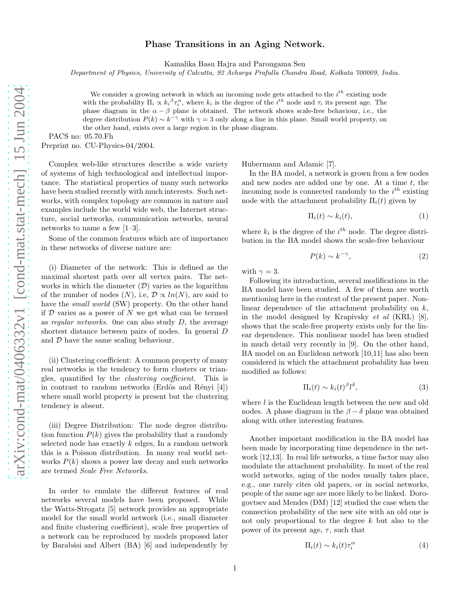## Phase Transitions in an Aging Network.

Kamalika Basu Hajra and Parongama Sen

*Department of Physics, University of Calcutta, 92 Acharya Prafulla Chandra Road, Kolkata 700009, India.*

We consider a growing network in which an incoming node gets attached to the  $i^{th}$  existing node with the probability  $\Pi_i \propto k_i^{\beta} \tau_i^{\alpha}$ , where  $k_i$  is the degree of the  $i^{th}$  node and  $\tau_i$  its present age. The phase diagram in the  $\alpha - \beta$  plane is obtained. The network shows scale-free behaviour, i.e., the degree distribution  $P(k) \sim k^{-\gamma}$  with  $\gamma = 3$  only along a line in this plane. Small world property, on the other hand, exists over a large region in the phase diagram.

PACS no: 05.70.Fh

Preprint no. CU-Physics-04/2004.

Complex web-like structures describe a wide variety of systems of high technological and intellectual importance. The statistical properties of many such networks have been studied recently with much interests. Such networks, with complex topology are common in nature and examples include the world wide web, the Internet structure, social networks, communication networks, neural networks to name a few [1–3].

Some of the common features which are of importance in these networks of diverse nature are:

(i) Diameter of the network: This is defined as the maximal shortest path over all vertex pairs. The networks in which the diameter  $(\mathcal{D})$  varies as the logarithm of the number of nodes  $(N)$ , i.e,  $\mathcal{D} \propto ln(N)$ , are said to have the *small world* (SW) property. On the other hand if  $D$  varies as a power of  $N$  we get what can be termed as regular networks. One can also study  $D$ , the average shortest distance between pairs of nodes. In general D and  $D$  have the same scaling behaviour.

(ii) Clustering coefficient: A common property of many real networks is the tendency to form clusters or triangles, quantified by the clustering coefficient. This is in contrast to random networks (Erdös and Rényi [4]) where small world property is present but the clustering tendency is absent.

(iii) Degree Distribution: The node degree distribution function  $P(k)$  gives the probability that a randomly selected node has exactly  $k$  edges, In a random network this is a Poisson distribution. In many real world networks  $P(k)$  shows a power law decay and such networks are termed Scale Free Networks.

In order to emulate the different features of real networks several models have been proposed. While the Watts-Strogatz [5] network provides an appropriate model for the small world network (i.e., small diameter and finite clustering coefficient), scale free properties of a network can be reproduced by models proposed later by Barabási and Albert  $(BA)$  [6] and independently by

Hubermann and Adamic [7].

In the BA model, a network is grown from a few nodes and new nodes are added one by one. At a time  $t$ , the incoming node is connected randomly to the  $i^{th}$  existing node with the attachment probability  $\Pi_i(t)$  given by

$$
\Pi_i(t) \sim k_i(t),\tag{1}
$$

where  $k_i$  is the degree of the  $i^{th}$  node. The degree distribution in the BA model shows the scale-free behaviour

$$
P(k) \sim k^{-\gamma},\tag{2}
$$

with  $\gamma = 3$ .

Following its introduction, several modifications in the BA model have been studied. A few of them are worth mentioning here in the context of the present paper. Nonlinear dependence of the attachment probability on k, in the model designed by Krapivsky et al (KRL) [8], shows that the scale-free property exists only for the linear dependence. This nonlinear model has been studied in much detail very recently in [9]. On the other hand, BA model on an Euclidean network [10,11] has also been considered in which the attachment probability has been modified as follows:

$$
\Pi_i(t) \sim k_i(t)^{\beta} l^{\delta},\tag{3}
$$

where  $l$  is the Euclidean length between the new and old nodes. A phase diagram in the  $\beta - \delta$  plane was obtained along with other interesting features.

Another important modification in the BA model has been made by incorporating time dependence in the network [12,13]. In real life networks, a time factor may also modulate the attachment probability. In most of the real world networks, aging of the nodes usually takes place, e.g., one rarely cites old papers, or in social networks, people of the same age are more likely to be linked. Dorogovtsev and Mendes (DM) [12] studied the case when the connection probability of the new site with an old one is not only proportional to the degree k but also to the power of its present age,  $\tau$ , such that

$$
\Pi_i(t) \sim k_i(t)\tau_i^{\alpha} \tag{4}
$$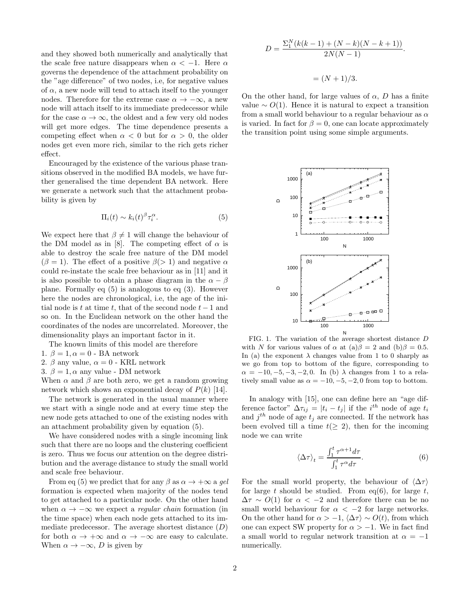and they showed both numerically and analytically that the scale free nature disappears when  $\alpha < -1$ . Here  $\alpha$ governs the dependence of the attachment probability on the "age difference" of two nodes, i.e, for negative values of  $\alpha$ , a new node will tend to attach itself to the younger nodes. Therefore for the extreme case  $\alpha \to -\infty$ , a new node will attach itself to its immediate predecessor while for the case  $\alpha \to \infty$ , the oldest and a few very old nodes will get more edges. The time dependence presents a competing effect when  $\alpha < 0$  but for  $\alpha > 0$ , the older nodes get even more rich, similar to the rich gets richer effect.

Encouraged by the existence of the various phase transitions observed in the modified BA models, we have further generalised the time dependent BA network. Here we generate a network such that the attachment probability is given by

$$
\Pi_i(t) \sim k_i(t)^{\beta} \tau_i^{\alpha}.
$$
 (5)

We expect here that  $\beta \neq 1$  will change the behaviour of the DM model as in [8]. The competing effect of  $\alpha$  is able to destroy the scale free nature of the DM model  $(\beta = 1)$ . The effect of a positive  $\beta$ (> 1) and negative  $\alpha$ could re-instate the scale free behaviour as in [11] and it is also possible to obtain a phase diagram in the  $\alpha - \beta$ plane. Formally eq (5) is analogous to eq (3). However here the nodes are chronological, i.e, the age of the initial node is t at time t, that of the second node  $t-1$  and so on. In the Euclidean network on the other hand the coordinates of the nodes are uncorrelated. Moreover, the dimensionality plays an important factor in it.

The known limits of this model are therefore

- 1.  $\beta = 1, \alpha = 0$  BA network
- 2.  $\beta$  any value,  $\alpha = 0$  KRL network
- 3.  $\beta = 1, \alpha$  any value DM network

When  $\alpha$  and  $\beta$  are both zero, we get a random growing network which shows an exponential decay of  $P(k)$  [14].

The network is generated in the usual manner where we start with a single node and at every time step the new node gets attached to one of the existing nodes with an attachment probability given by equation (5).

We have considered nodes with a single incoming link such that there are no loops and the clustering coefficient is zero. Thus we focus our attention on the degree distribution and the average distance to study the small world and scale free behaviour.

From eq (5) we predict that for any  $\beta$  as  $\alpha \to +\infty$  a gel formation is expected when majority of the nodes tend to get attached to a particular node. On the other hand when  $\alpha \to -\infty$  we expect a *regular chain* formation (in the time space) when each node gets attached to its immediate predecessor. The average shortest distance  $(D)$ for both  $\alpha \to +\infty$  and  $\alpha \to -\infty$  are easy to calculate. When  $\alpha \to -\infty$ , D is given by

$$
D = \frac{\sum_{1}^{N} (k(k-1) + (N-k)(N-k+1))}{2N(N-1)}.
$$
  
= (N + 1)/3.

On the other hand, for large values of  $\alpha$ , D has a finite value  $∼ O(1)$ . Hence it is natural to expect a transition from a small world behaviour to a regular behaviour as  $\alpha$ is varied. In fact for  $\beta = 0$ , one can locate approximately the transition point using some simple arguments.



FIG. 1. The variation of the average shortest distance D with N for various values of  $\alpha$  at  $(a)\beta = 2$  and  $(b)\beta = 0.5$ . In (a) the exponent  $\lambda$  changes value from 1 to 0 sharply as we go from top to bottom of the figure, corresponding to  $\alpha = -10, -5, -3, -2, 0$ . In (b)  $\lambda$  changes from 1 to a relatively small value as  $\alpha = -10, -5, -2, 0$  from top to bottom.

In analogy with [15], one can define here an "age difference factor"  $\Delta \tau_{ij} = |t_i - t_j|$  if the  $i^{th}$  node of age  $t_i$ and  $j^{th}$  node of age  $t_j$  are connected. If the network has been evolved till a time  $t(\geq 2)$ , then for the incoming node we can write

$$
\langle \Delta \tau \rangle_t = \frac{\int_1^t \tau^{\alpha+1} d\tau}{\int_1^t \tau^{\alpha} d\tau}.
$$
 (6)

For the small world property, the behaviour of  $\langle \Delta \tau \rangle$ for large t should be studied. From eq(6), for large t,  $\Delta \tau \sim O(1)$  for  $\alpha < -2$  and therefore there can be no small world behaviour for  $\alpha < -2$  for large networks. On the other hand for  $\alpha > -1$ ,  $\langle \Delta \tau \rangle \sim O(t)$ , from which one can expect SW property for  $\alpha > -1$ . We in fact find a small world to regular network transition at  $\alpha = -1$ numerically.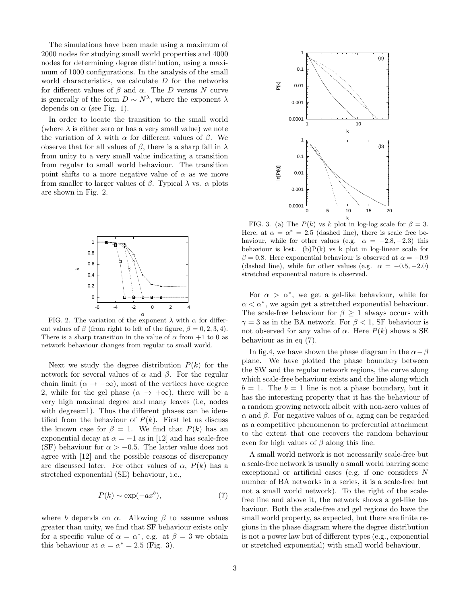The simulations have been made using a maximum of 2000 nodes for studying small world properties and 4000 nodes for determining degree distribution, using a maximum of 1000 configurations. In the analysis of the small world characteristics, we calculate  $D$  for the networks for different values of  $\beta$  and  $\alpha$ . The D versus N curve is generally of the form  $D \sim N^{\lambda}$ , where the exponent  $\lambda$ depends on  $\alpha$  (see Fig. 1).

In order to locate the transition to the small world (where  $\lambda$  is either zero or has a very small value) we note the variation of  $\lambda$  with  $\alpha$  for different values of  $\beta$ . We observe that for all values of  $\beta$ , there is a sharp fall in  $\lambda$ from unity to a very small value indicating a transition from regular to small world behaviour. The transition point shifts to a more negative value of  $\alpha$  as we move from smaller to larger values of  $\beta$ . Typical  $\lambda$  vs.  $\alpha$  plots are shown in Fig. 2.



FIG. 2. The variation of the exponent  $\lambda$  with  $\alpha$  for different values of  $\beta$  (from right to left of the figure,  $\beta = 0, 2, 3, 4$ ). There is a sharp transition in the value of  $\alpha$  from  $+1$  to 0 as network behaviour changes from regular to small world.

Next we study the degree distribution  $P(k)$  for the network for several values of α and β. For the regular chain limit  $(\alpha \to -\infty)$ , most of the vertices have degree 2, while for the gel phase  $(\alpha \rightarrow +\infty)$ , there will be a very high maximal degree and many leaves (i.e, nodes with degree=1). Thus the different phases can be identified from the behaviour of  $P(k)$ . First let us discuss the known case for  $\beta = 1$ . We find that  $P(k)$  has an exponential decay at  $\alpha = -1$  as in [12] and has scale-free (SF) behaviour for  $\alpha > -0.5$ . The latter value does not agree with [12] and the possible reasons of discrepancy are discussed later. For other values of  $\alpha$ ,  $P(k)$  has a stretched exponential (SE) behaviour, i.e.,

$$
P(k) \sim \exp(-ax^b),\tag{7}
$$

where b depends on  $\alpha$ . Allowing  $\beta$  to assume values greater than unity, we find that SF behaviour exists only for a specific value of  $\alpha = \alpha^*$ , e.g. at  $\beta = 3$  we obtain this behaviour at  $\alpha = \alpha^* = 2.5$  (Fig. 3).



FIG. 3. (a) The  $P(k)$  vs k plot in log-log scale for  $\beta = 3$ . Here, at  $\alpha = \alpha^* = 2.5$  (dashed line), there is scale free behaviour, while for other values (e.g.  $\alpha = -2.8, -2.3$ ) this behaviour is lost. (b) $P(k)$  vs k plot in log-linear scale for  $\beta = 0.8$ . Here exponential behaviour is observed at  $\alpha = -0.9$ (dashed line), while for other values (e.g.  $\alpha = -0.5, -2.0$ ) stretched exponential nature is observed.

For  $\alpha > \alpha^*$ , we get a gel-like behaviour, while for  $\alpha < \alpha^*$ , we again get a stretched exponential behaviour. The scale-free behaviour for  $\beta \geq 1$  always occurs with  $\gamma = 3$  as in the BA network. For  $\beta < 1$ , SF behaviour is not observed for any value of  $\alpha$ . Here  $P(k)$  shows a SE behaviour as in eq (7).

In fig.4, we have shown the phase diagram in the  $\alpha-\beta$ plane. We have plotted the phase boundary between the SW and the regular network regions, the curve along which scale-free behaviour exists and the line along which  $b = 1$ . The  $b = 1$  line is not a phase boundary, but it has the interesting property that it has the behaviour of a random growing network albeit with non-zero values of α and β. For negative values of α, aging can be regarded as a competitive phenomenon to preferential attachment to the extent that one recovers the random behaviour even for high values of  $\beta$  along this line.

A small world network is not necessarily scale-free but a scale-free network is usually a small world barring some exceptional or artificial cases (e.g, if one considers N number of BA networks in a series, it is a scale-free but not a small world network). To the right of the scalefree line and above it, the network shows a gel-like behaviour. Both the scale-free and gel regions do have the small world property, as expected, but there are finite regions in the phase diagram where the degree distribution is not a power law but of different types (e.g., exponential or stretched exponential) with small world behaviour.